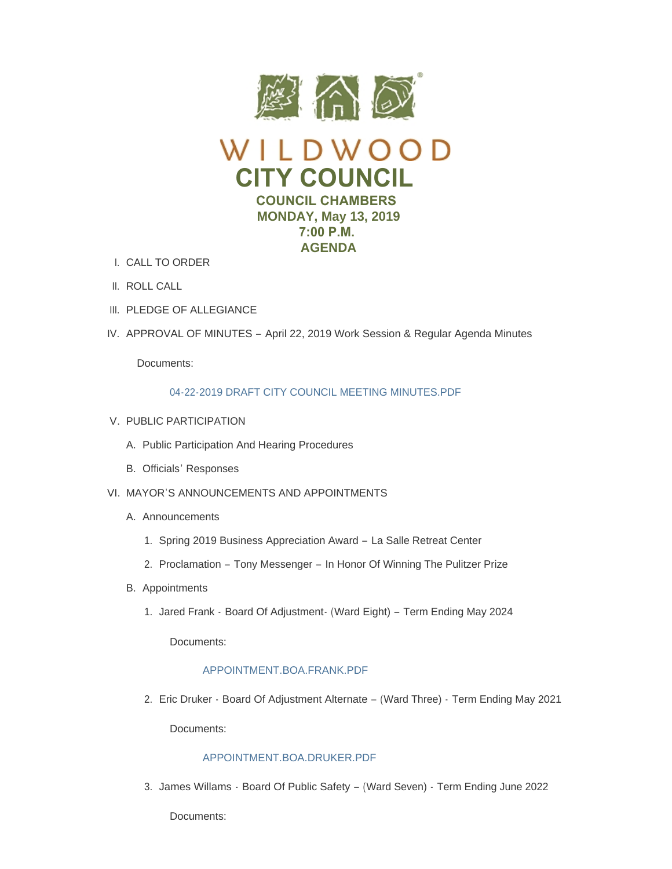



- CALL TO ORDER I.
- II. ROLL CALL
- III. PLEDGE OF ALLEGIANCE
- IV. APPROVAL OF MINUTES April 22, 2019 Work Session & Regular Agenda Minutes

Documents:

# [04-22-2019 DRAFT CITY COUNCIL MEETING MINUTES.PDF](https://www.cityofwildwood.com/AgendaCenter/ViewFile/Item/20219?fileID=26051)

- V. PUBLIC PARTICIPATION
	- A. Public Participation And Hearing Procedures
	- B. Officials' Responses
- VI. MAYOR'S ANNOUNCEMENTS AND APPOINTMENTS
	- A. Announcements
		- 1. Spring 2019 Business Appreciation Award La Salle Retreat Center
		- 2. Proclamation Tony Messenger In Honor Of Winning The Pulitzer Prize
	- B. Appointments
		- 1. Jared Frank Board Of Adjustment (Ward Eight) Term Ending May 2024

Documents:

## [APPOINTMENT.BOA.FRANK.PDF](https://www.cityofwildwood.com/AgendaCenter/ViewFile/Item/20292?fileID=26082)

Eric Druker - Board Of Adjustment Alternate – (Ward Three) - Term Ending May 2021 2.

Documents:

# [APPOINTMENT.BOA.DRUKER.PDF](https://www.cityofwildwood.com/AgendaCenter/ViewFile/Item/20293?fileID=26083)

3. James Willams - Board Of Public Safety – (Ward Seven) - Term Ending June 2022

Documents: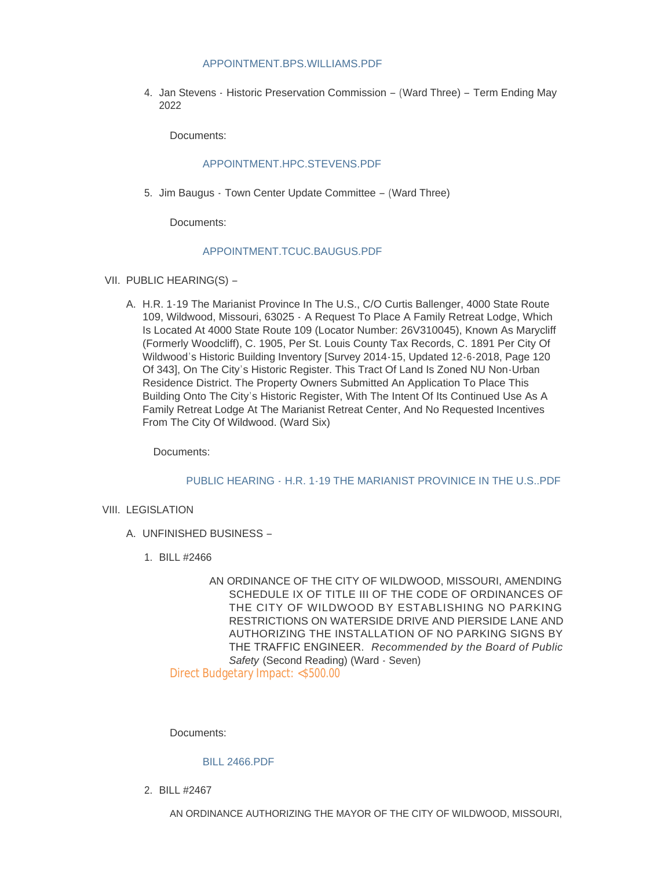## [APPOINTMENT.BPS.WILLIAMS.PDF](https://www.cityofwildwood.com/AgendaCenter/ViewFile/Item/20294?fileID=26084)

4. Jan Stevens - Historic Preservation Commission - (Ward Three) - Term Ending May 2022

Documents:

# [APPOINTMENT.HPC.STEVENS.PDF](https://www.cityofwildwood.com/AgendaCenter/ViewFile/Item/20295?fileID=26085)

5. Jim Baugus - Town Center Update Committee – (Ward Three)

Documents:

## [APPOINTMENT.TCUC.BAUGUS.PDF](https://www.cityofwildwood.com/AgendaCenter/ViewFile/Item/20296?fileID=26086)

- VII. PUBLIC HEARING(S)
	- A. H.R. 1-19 The Marianist Province In The U.S., C/O Curtis Ballenger, 4000 State Route 109, Wildwood, Missouri, 63025 - A Request To Place A Family Retreat Lodge, Which Is Located At 4000 State Route 109 (Locator Number: 26V310045), Known As Marycliff (Formerly Woodcliff), C. 1905, Per St. Louis County Tax Records, C. 1891 Per City Of Wildwood's Historic Building Inventory [Survey 2014-15, Updated 12-6-2018, Page 120 Of 343], On The City's Historic Register. This Tract Of Land Is Zoned NU Non-Urban Residence District. The Property Owners Submitted An Application To Place This Building Onto The City's Historic Register, With The Intent Of Its Continued Use As A Family Retreat Lodge At The Marianist Retreat Center, And No Requested Incentives From The City Of Wildwood. (Ward Six)

Documents:

#### PUBLIC HEARING - [H.R. 1-19 THE MARIANIST PROVINICE IN THE U.S..PDF](https://www.cityofwildwood.com/AgendaCenter/ViewFile/Item/20236?fileID=26052)

## VIII. LEGISLATION

- UNFINISHED BUSINESS A.
	- BILL #2466 1.
		- AN ORDINANCE OF THE CITY OF WILDWOOD, MISSOURI, AMENDING SCHEDULE IX OF TITLE III OF THE CODE OF ORDINANCES OF THE CITY OF WILDWOOD BY ESTABLISHING NO PARKING RESTRICTIONS ON WATERSIDE DRIVE AND PIERSIDE LANE AND AUTHORIZING THE INSTALLATION OF NO PARKING SIGNS BY THE TRAFFIC ENGINEER. *Recommended by the Board of Public Safety* (Second Reading) (Ward - Seven)

Direct Budgetary Impact: <\$500.00

Documents:

#### [BILL 2466.PDF](https://www.cityofwildwood.com/AgendaCenter/ViewFile/Item/20239?fileID=26053)

BILL #2467 2.

AN ORDINANCE AUTHORIZING THE MAYOR OF THE CITY OF WILDWOOD, MISSOURI,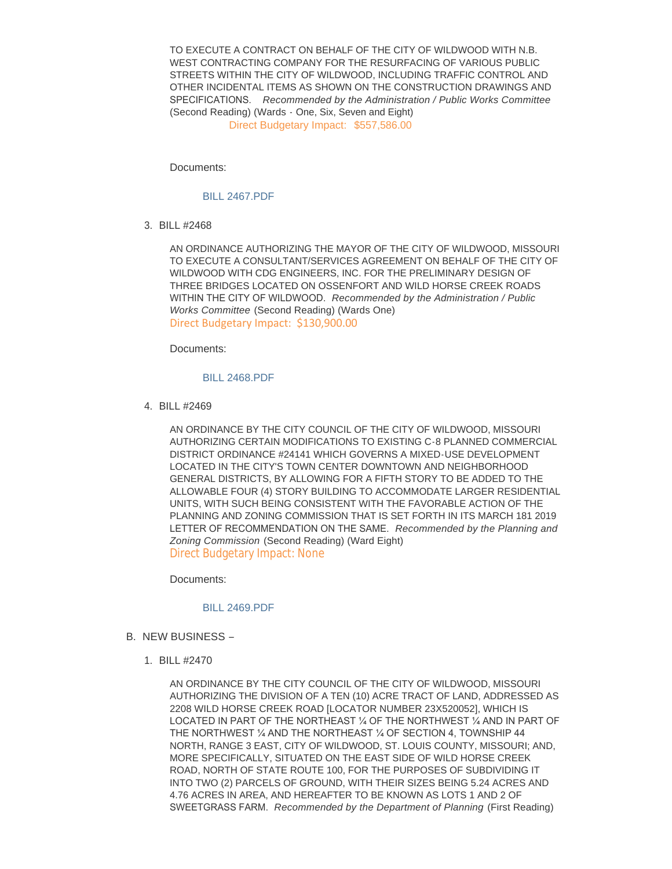TO EXECUTE A CONTRACT ON BEHALF OF THE CITY OF WILDWOOD WITH N.B. WEST CONTRACTING COMPANY FOR THE RESURFACING OF VARIOUS PUBLIC STREETS WITHIN THE CITY OF WILDWOOD, INCLUDING TRAFFIC CONTROL AND OTHER INCIDENTAL ITEMS AS SHOWN ON THE CONSTRUCTION DRAWINGS AND SPECIFICATIONS. *Recommended by the Administration / Public Works Committee* (Second Reading) (Wards - One, Six, Seven and Eight) Direct Budgetary Impact: \$557,586.00

Documents:

# [BILL 2467.PDF](https://www.cityofwildwood.com/AgendaCenter/ViewFile/Item/20240?fileID=26054)

BILL #2468 3.

AN ORDINANCE AUTHORIZING THE MAYOR OF THE CITY OF WILDWOOD, MISSOURI TO EXECUTE A CONSULTANT/SERVICES AGREEMENT ON BEHALF OF THE CITY OF WILDWOOD WITH CDG ENGINEERS, INC. FOR THE PRELIMINARY DESIGN OF THREE BRIDGES LOCATED ON OSSENFORT AND WILD HORSE CREEK ROADS WITHIN THE CITY OF WILDWOOD. *Recommended by the Administration / Public Works Committee* (Second Reading) (Wards One) Direct Budgetary Impact: \$130,900.00

Documents:

## [BILL 2468.PDF](https://www.cityofwildwood.com/AgendaCenter/ViewFile/Item/20241?fileID=26055)

BILL #2469 4.

AN ORDINANCE BY THE CITY COUNCIL OF THE CITY OF WILDWOOD, MISSOURI AUTHORIZING CERTAIN MODIFICATIONS TO EXISTING C-8 PLANNED COMMERCIAL DISTRICT ORDINANCE #24141 WHICH GOVERNS A MIXED-USE DEVELOPMENT LOCATED IN THE CITY'S TOWN CENTER DOWNTOWN AND NEIGHBORHOOD GENERAL DISTRICTS, BY ALLOWING FOR A FIFTH STORY TO BE ADDED TO THE ALLOWABLE FOUR (4) STORY BUILDING TO ACCOMMODATE LARGER RESIDENTIAL UNITS, WITH SUCH BEING CONSISTENT WITH THE FAVORABLE ACTION OF THE PLANNING AND ZONING COMMISSION THAT IS SET FORTH IN ITS MARCH 181 2019 LETTER OF RECOMMENDATION ON THE SAME. *Recommended by the Planning and Zoning Commission* (Second Reading) (Ward Eight) Direct Budgetary Impact: None

Documents:

#### [BILL 2469.PDF](https://www.cityofwildwood.com/AgendaCenter/ViewFile/Item/20242?fileID=26056)

- B. NEW BUSINESS
	- BILL #2470 1.

AN ORDINANCE BY THE CITY COUNCIL OF THE CITY OF WILDWOOD, MISSOURI AUTHORIZING THE DIVISION OF A TEN (10) ACRE TRACT OF LAND, ADDRESSED AS 2208 WILD HORSE CREEK ROAD [LOCATOR NUMBER 23X520052], WHICH IS LOCATED IN PART OF THE NORTHEAST ¼ OF THE NORTHWEST ¼ AND IN PART OF THE NORTHWEST ¼ AND THE NORTHEAST ¼ OF SECTION 4, TOWNSHIP 44 NORTH, RANGE 3 EAST, CITY OF WILDWOOD, ST. LOUIS COUNTY, MISSOURI; AND, MORE SPECIFICALLY, SITUATED ON THE EAST SIDE OF WILD HORSE CREEK ROAD, NORTH OF STATE ROUTE 100, FOR THE PURPOSES OF SUBDIVIDING IT INTO TWO (2) PARCELS OF GROUND, WITH THEIR SIZES BEING 5.24 ACRES AND 4.76 ACRES IN AREA, AND HEREAFTER TO BE KNOWN AS LOTS 1 AND 2 OF SWEETGRASS FARM. *Recommended by the Department of Planning* (First Reading)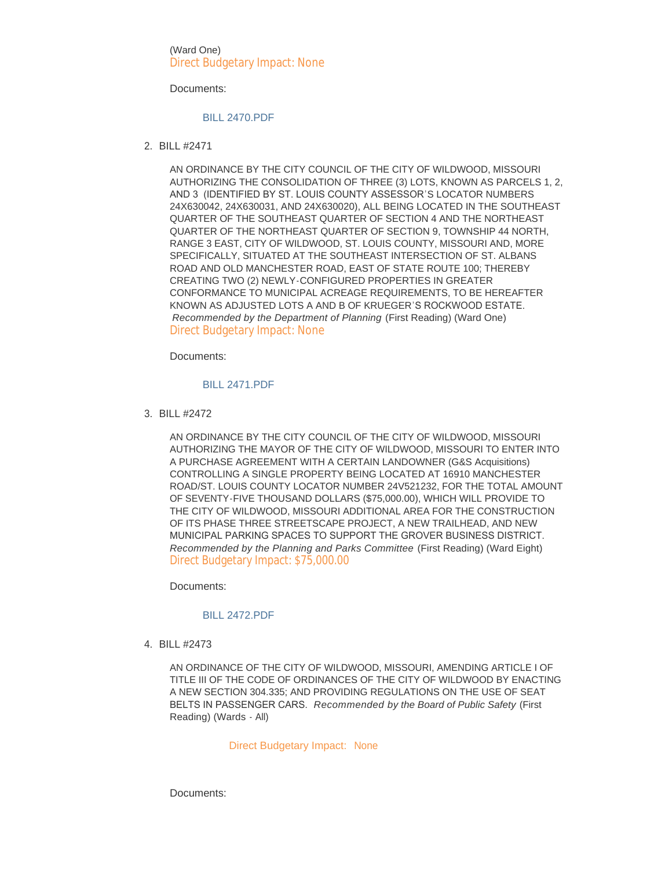(Ward One) Direct Budgetary Impact: None

Documents:

## [BILL 2470.PDF](https://www.cityofwildwood.com/AgendaCenter/ViewFile/Item/20244?fileID=26057)

BILL #2471 2.

AN ORDINANCE BY THE CITY COUNCIL OF THE CITY OF WILDWOOD, MISSOURI AUTHORIZING THE CONSOLIDATION OF THREE (3) LOTS, KNOWN AS PARCELS 1, 2, AND 3 (IDENTIFIED BY ST. LOUIS COUNTY ASSESSOR'S LOCATOR NUMBERS 24X630042, 24X630031, AND 24X630020), ALL BEING LOCATED IN THE SOUTHEAST QUARTER OF THE SOUTHEAST QUARTER OF SECTION 4 AND THE NORTHEAST QUARTER OF THE NORTHEAST QUARTER OF SECTION 9, TOWNSHIP 44 NORTH, RANGE 3 EAST, CITY OF WILDWOOD, ST. LOUIS COUNTY, MISSOURI AND, MORE SPECIFICALLY, SITUATED AT THE SOUTHEAST INTERSECTION OF ST. ALBANS ROAD AND OLD MANCHESTER ROAD, EAST OF STATE ROUTE 100; THEREBY CREATING TWO (2) NEWLY-CONFIGURED PROPERTIES IN GREATER CONFORMANCE TO MUNICIPAL ACREAGE REQUIREMENTS, TO BE HEREAFTER KNOWN AS ADJUSTED LOTS A AND B OF KRUEGER'S ROCKWOOD ESTATE. *Recommended by the Department of Planning* (First Reading) (Ward One) Direct Budgetary Impact: None

Documents:

#### [BILL 2471.PDF](https://www.cityofwildwood.com/AgendaCenter/ViewFile/Item/20245?fileID=26058)

BILL #2472 3.

AN ORDINANCE BY THE CITY COUNCIL OF THE CITY OF WILDWOOD, MISSOURI AUTHORIZING THE MAYOR OF THE CITY OF WILDWOOD, MISSOURI TO ENTER INTO A PURCHASE AGREEMENT WITH A CERTAIN LANDOWNER (G&S Acquisitions) CONTROLLING A SINGLE PROPERTY BEING LOCATED AT 16910 MANCHESTER ROAD/ST. LOUIS COUNTY LOCATOR NUMBER 24V521232, FOR THE TOTAL AMOUNT OF SEVENTY-FIVE THOUSAND DOLLARS (\$75,000.00), WHICH WILL PROVIDE TO THE CITY OF WILDWOOD, MISSOURI ADDITIONAL AREA FOR THE CONSTRUCTION OF ITS PHASE THREE STREETSCAPE PROJECT, A NEW TRAILHEAD, AND NEW MUNICIPAL PARKING SPACES TO SUPPORT THE GROVER BUSINESS DISTRICT. *Recommended by the Planning and Parks Committee* (First Reading) (Ward Eight) Direct Budgetary Impact: \$75,000.00

Documents:

# [BILL 2472.PDF](https://www.cityofwildwood.com/AgendaCenter/ViewFile/Item/20246?fileID=26059)

BILL #2473 4.

AN ORDINANCE OF THE CITY OF WILDWOOD, MISSOURI, AMENDING ARTICLE I OF TITLE III OF THE CODE OF ORDINANCES OF THE CITY OF WILDWOOD BY ENACTING A NEW SECTION 304.335; AND PROVIDING REGULATIONS ON THE USE OF SEAT BELTS IN PASSENGER CARS. *Recommended by the Board of Public Safety* (First Reading) (Wards - All)

#### Direct Budgetary Impact: None

Documents: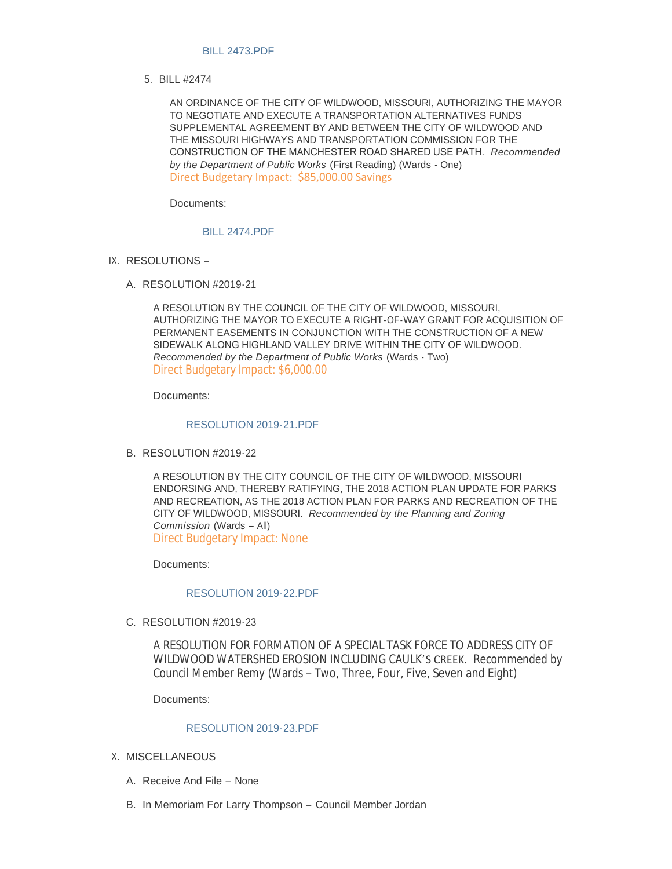## [BILL 2473.PDF](https://www.cityofwildwood.com/AgendaCenter/ViewFile/Item/20247?fileID=26060)

BILL #2474 5.

AN ORDINANCE OF THE CITY OF WILDWOOD, MISSOURI, AUTHORIZING THE MAYOR TO NEGOTIATE AND EXECUTE A TRANSPORTATION ALTERNATIVES FUNDS SUPPLEMENTAL AGREEMENT BY AND BETWEEN THE CITY OF WILDWOOD AND THE MISSOURI HIGHWAYS AND TRANSPORTATION COMMISSION FOR THE CONSTRUCTION OF THE MANCHESTER ROAD SHARED USE PATH. *Recommended by the Department of Public Works* (First Reading) (Wards - One) Direct Budgetary Impact: \$85,000.00 Savings

Documents:

#### [BILL 2474.PDF](https://www.cityofwildwood.com/AgendaCenter/ViewFile/Item/20248?fileID=26061)

- IX. RESOLUTIONS
	- A. RESOLUTION #2019-21

A RESOLUTION BY THE COUNCIL OF THE CITY OF WILDWOOD, MISSOURI, AUTHORIZING THE MAYOR TO EXECUTE A RIGHT-OF-WAY GRANT FOR ACQUISITION OF PERMANENT EASEMENTS IN CONJUNCTION WITH THE CONSTRUCTION OF A NEW SIDEWALK ALONG HIGHLAND VALLEY DRIVE WITHIN THE CITY OF WILDWOOD. *Recommended by the Department of Public Works* (Wards - Two) Direct Budgetary Impact: \$6,000.00

Documents:

## [RESOLUTION 2019-21.PDF](https://www.cityofwildwood.com/AgendaCenter/ViewFile/Item/20250?fileID=26062)

B. RESOLUTION #2019-22

A RESOLUTION BY THE CITY COUNCIL OF THE CITY OF WILDWOOD, MISSOURI ENDORSING AND, THEREBY RATIFYING, THE 2018 ACTION PLAN UPDATE FOR PARKS AND RECREATION, AS THE 2018 ACTION PLAN FOR PARKS AND RECREATION OF THE CITY OF WILDWOOD, MISSOURI. *Recommended by the Planning and Zoning Commission* (Wards – All) Direct Budgetary Impact: None

Documents:

# [RESOLUTION 2019-22.PDF](https://www.cityofwildwood.com/AgendaCenter/ViewFile/Item/20251?fileID=26063)

C. RESOLUTION #2019-23

A RESOLUTION FOR FORMATION OF A SPECIAL TASK FORCE TO ADDRESS CITY OF WILDWOOD WATERSHED EROSION INCLUDING CAULK'S CREEK. *Recommended by Council Member Remy* (Wards – Two, Three, Four, Five, Seven and Eight)

Documents:

## [RESOLUTION 2019-23.PDF](https://www.cityofwildwood.com/AgendaCenter/ViewFile/Item/20252?fileID=26064)

- X. MISCELLANEOUS
	- A. Receive And File None
	- B. In Memoriam For Larry Thompson Council Member Jordan